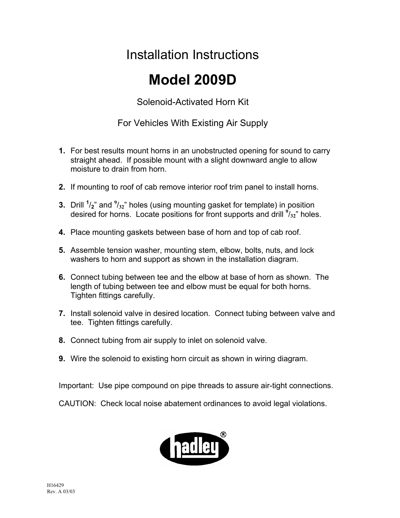## Installation Instructions

## **Model 2009D**

Solenoid-Activated Horn Kit

For Vehicles With Existing Air Supply

- **1.** For best results mount horns in an unobstructed opening for sound to carry straight ahead. If possible mount with a slight downward angle to allow moisture to drain from horn.
- **2.** If mounting to roof of cab remove interior roof trim panel to install horns.
- **3.** Drill <sup>1</sup>/<sub>2</sub>" and <sup>9</sup>/<sub>32</sub>" holes (using mounting gasket for template) in position desired for horns. Locate positions for front supports and drill **<sup>9</sup>** /**32**" holes.
- **4.** Place mounting gaskets between base of horn and top of cab roof.
- **5.** Assemble tension washer, mounting stem, elbow, bolts, nuts, and lock washers to horn and support as shown in the installation diagram.
- **6.** Connect tubing between tee and the elbow at base of horn as shown. The length of tubing between tee and elbow must be equal for both horns. Tighten fittings carefully.
- **7.** Install solenoid valve in desired location. Connect tubing between valve and tee. Tighten fittings carefully.
- **8.** Connect tubing from air supply to inlet on solenoid valve.
- **9.** Wire the solenoid to existing horn circuit as shown in wiring diagram.

Important: Use pipe compound on pipe threads to assure air-tight connections.

CAUTION: Check local noise abatement ordinances to avoid legal violations.

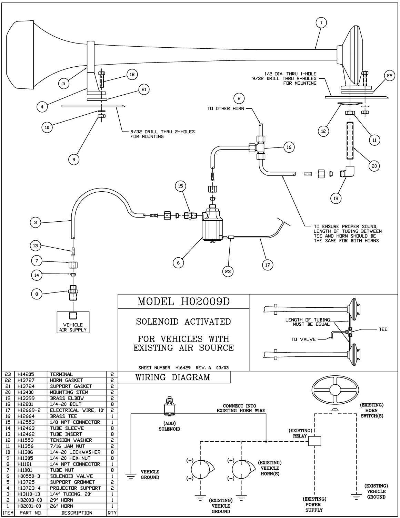